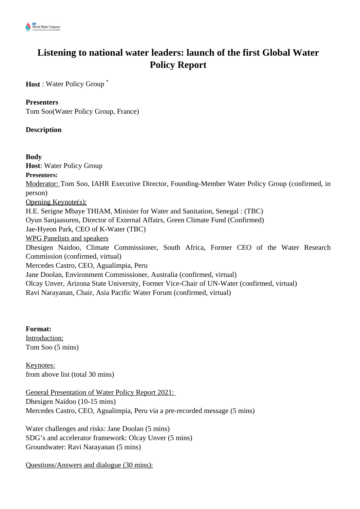

# **Listening to national water leaders: launch of the first Global Water Policy Report**

**Host** : Water Policy Group \*

# **Presenters**

Tom Soo(Water Policy Group, France)

# **Description**

#### **Body**

**Host**: Water Policy Group **Presenters:** Moderator: Tom Soo, IAHR Executive Director, Founding-Member Water Policy Group (confirmed, in person) Opening Keynote(s): H.E. Serigne Mbaye THIAM, Minister for Water and Sanitation, Senegal : (TBC) Oyun Sanjaasuren, Director of External Affairs, Green Climate Fund (Confirmed) Jae-Hyeon Park, CEO of K-Water (TBC) WPG Panelists and speakers Dhesigen Naidoo, Climate Commissioner, South Africa, Former CEO of the Water Research Commission (confirmed, virtual) Mercedes Castro, CEO, Agualimpia, Peru Jane Doolan, Environment Commissioner, Australia (confirmed, virtual) Olcay Unver, Arizona State University, Former Vice-Chair of UN-Water (confirmed, virtual) Ravi Narayanan, Chair, Asia Pacific Water Forum (confirmed, virtual)

**Format:** Introduction: Tom Soo (5 mins)

Keynotes: from above list (total 30 mins)

General Presentation of Water Policy Report 2021: Dhesigen Naidoo (10-15 mins) Mercedes Castro, CEO, Agualimpia, Peru via a pre-recorded message (5 mins)

Water challenges and risks: Jane Doolan (5 mins) SDG's and accelerator framework: Olcay Unver (5 mins) Groundwater: Ravi Narayanan (5 mins)

Questions/Answers and dialogue (30 mins):